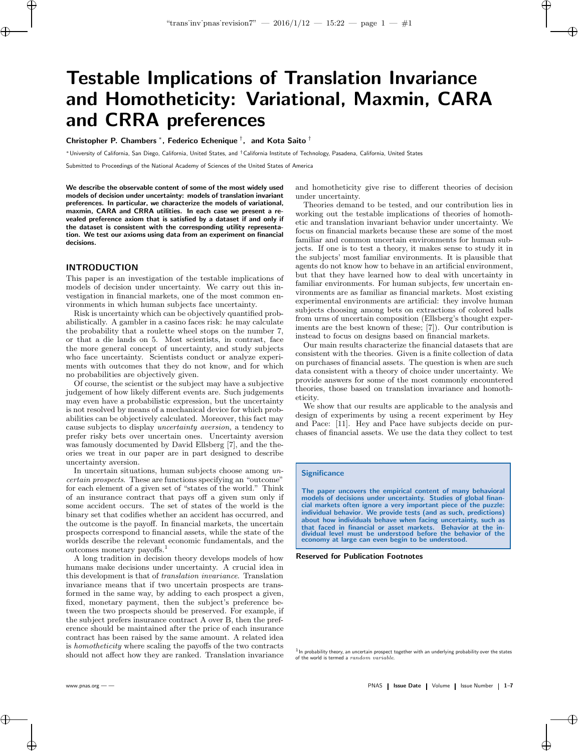# Testable Implications of Translation Invariance and Homotheticity: Variational, Maxmin, CARA and CRRA preferences

Christopher P. Chambers  $^*$ , Federico Echenique  $^\dagger$ , and Kota Saito  $^\dagger$ 

<sup>∗</sup>University of California, San Diego, California, United States, and †California Institute of Technology, Pasadena, California, United States

Submitted to Proceedings of the National Academy of Sciences of the United States of America

We describe the observable content of some of the most widely used models of decision under uncertainty: models of translation invariant preferences. In particular, we characterize the models of variational, maxmin, CARA and CRRA utilities. In each case we present a revealed preference axiom that is satisfied by a dataset if and only if the dataset is consistent with the corresponding utility representation. We test our axioms using data from an experiment on financial decisions.

# INTRODUCTION

 $\rightarrow$ 

✐

This paper is an investigation of the testable implications of models of decision under uncertainty. We carry out this investigation in financial markets, one of the most common environments in which human subjects face uncertainty.

Risk is uncertainty which can be objectively quantified probabilistically. A gambler in a casino faces risk: he may calculate the probability that a roulette wheel stops on the number 7, or that a die lands on 5. Most scientists, in contrast, face the more general concept of uncertainty, and study subjects who face uncertainty. Scientists conduct or analyze experiments with outcomes that they do not know, and for which no probabilities are objectively given.

Of course, the scientist or the subject may have a subjective judgement of how likely different events are. Such judgements may even have a probabilistic expression, but the uncertainty is not resolved by means of a mechanical device for which probabilities can be objectively calculated. Moreover, this fact may cause subjects to display uncertainty aversion, a tendency to prefer risky bets over uncertain ones. Uncertainty aversion was famously documented by David Ellsberg [7], and the theories we treat in our paper are in part designed to describe uncertainty aversion.

In uncertain situations, human subjects choose among uncertain prospects. These are functions specifying an "outcome" for each element of a given set of "states of the world." Think of an insurance contract that pays off a given sum only if some accident occurs. The set of states of the world is the binary set that codifies whether an accident has occurred, and the outcome is the payoff. In financial markets, the uncertain prospects correspond to financial assets, while the state of the worlds describe the relevant economic fundamentals, and the outcomes monetary payoffs.<sup>1</sup>

A long tradition in decision theory develops models of how humans make decisions under uncertainty. A crucial idea in this development is that of translation invariance. Translation invariance means that if two uncertain prospects are transformed in the same way, by adding to each prospect a given, fixed, monetary payment, then the subject's preference between the two prospects should be preserved. For example, if the subject prefers insurance contract A over B, then the preference should be maintained after the price of each insurance contract has been raised by the same amount. A related idea is homotheticity where scaling the payoffs of the two contracts should not affect how they are ranked. Translation invariance and homotheticity give rise to different theories of decision under uncertainty.

✐

Theories demand to be tested, and our contribution lies in working out the testable implications of theories of homothetic and translation invariant behavior under uncertainty. We focus on financial markets because these are some of the most familiar and common uncertain environments for human subjects. If one is to test a theory, it makes sense to study it in the subjects' most familiar environments. It is plausible that agents do not know how to behave in an artificial environment, but that they have learned how to deal with uncertainty in familiar environments. For human subjects, few uncertain environments are as familiar as financial markets. Most existing experimental environments are artificial: they involve human subjects choosing among bets on extractions of colored balls from urns of uncertain composition (Ellsberg's thought experiments are the best known of these; [7]). Our contribution is instead to focus on designs based on financial markets.

Our main results characterize the financial datasets that are consistent with the theories. Given is a finite collection of data on purchases of financial assets. The question is when are such data consistent with a theory of choice under uncertainty. We provide answers for some of the most commonly encountered theories, those based on translation invariance and homotheticity.

We show that our results are applicable to the analysis and design of experiments by using a recent experiment by Hey and Pace: [11]. Hey and Pace have subjects decide on purchases of financial assets. We use the data they collect to test

### **Significance**

The paper uncovers the empirical content of many behavioral models of decisions under uncertainty. Studies of global financial markets often ignore a very important piece of the puzzle: individual behavior. We provide tests (and as such, predictions) about how individuals behave when facing uncertainty, such as that faced in financial or asset markets. Behavior at the in-dividual level must be understood before the behavior of the economy at large can even begin to be understood.

Reserved for Publication Footnotes

In probability theory, an uncertain prospect together with an underlying probability over the states of the world is termed a random variable.

✐

✐

 $\bigoplus$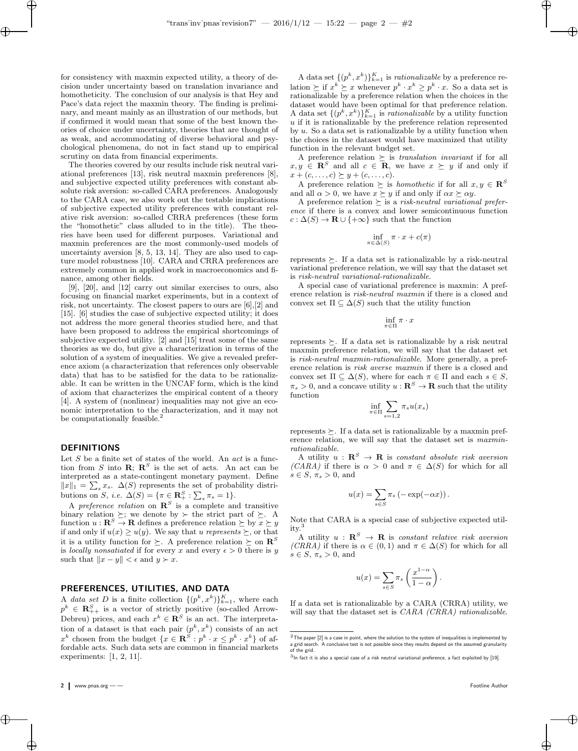for consistency with maxmin expected utility, a theory of decision under uncertainty based on translation invariance and homotheticity. The conclusion of our analysis is that Hey and Pace's data reject the maxmin theory. The finding is preliminary, and meant mainly as an illustration of our methods, but if confirmed it would mean that some of the best known theories of choice under uncertainty, theories that are thought of as weak, and accommodating of diverse behavioral and psychological phenomena, do not in fact stand up to empirical scrutiny on data from financial experiments.

The theories covered by our results include risk neutral variational preferences [13], risk neutral maxmin preferences [8], and subjective expected utility preferences with constant absolute risk aversion: so-called CARA preferences. Analogously to the CARA case, we also work out the testable implications of subjective expected utility preferences with constant relative risk aversion: so-called CRRA preferences (these form the "homothetic" class alluded to in the title). The theories have been used for different purposes. Variational and maxmin preferences are the most commonly-used models of uncertainty aversion [8, 5, 13, 14]. They are also used to capture model robustness [10]. CARA and CRRA preferences are extremely common in applied work in macroeconomics and finance, among other fields.

[9], [20], and [12] carry out similar exercises to ours, also focusing on financial market experiments, but in a context of risk, not uncertainty. The closest papers to ours are [6],[2] and [15]. [6] studies the case of subjective expected utility; it does not address the more general theories studied here, and that have been proposed to address the empirical shortcomings of subjective expected utility. [2] and [15] treat some of the same theories as we do, but give a characterization in terms of the solution of a system of inequalities. We give a revealed preference axiom (a characterization that references only observable data) that has to be satisfied for the data to be rationalizable. It can be written in the UNCAF form, which is the kind of axiom that characterizes the empirical content of a theory [4]. A system of (nonlinear) inequalities may not give an economic interpretation to the characterization, and it may not be computationally feasible.<sup>2</sup>

## DEFINITIONS

 $\rightarrow$ 

✐

Let  $S$  be a finite set of states of the world. An  $act$  is a function from S into  $\mathbf{R}$ ;  $\mathbf{R}^S$  is the set of acts. An act can be interpreted as a state-contingent monetary payment. Define  $||x||_1 = \sum_s x_s$ .  $\Delta(S)$  represents the set of probability distributions on S, i.e.  $\Delta(S) = {\pi \in \mathbb{R}^S_+ : \sum_s \pi_s = 1}.$ 

A preference relation on  $\mathbb{R}^S$  is a complete and transitive binary relation  $\succeq$ ; we denote by  $\succ$  the strict part of  $\succeq$ . A function  $u : \mathbf{R}^S \to \mathbf{R}$  defines a preference relation  $\succeq$  by  $x \succeq y$ if and only if  $u(x) \ge u(y)$ . We say that u represents  $\succeq$ , or that it is a utility function for  $\succeq$ . A preference relation  $\succeq$  on  $\mathbb{R}^S$ is *locally nonsatiated* if for every x and every  $\epsilon > 0$  there is y such that  $||x - y|| < \epsilon$  and  $y \succ x$ .

## PREFERENCES, UTILITIES, AND DATA

A data set D is a finite collection  $\{(p^k, x^k)\}_{k=1}^K$ , where each  $p^k \in \mathbb{R}_{++}^S$  is a vector of strictly positive (so-called Arrow-Debreu) prices, and each  $x^k \in \mathbb{R}^S$  is an act. The interpretation of a dataset is that each pair  $(p^k, x^k)$  consists of an act  $x^k$  chosen from the budget  $\{x \in \mathbf{R}^S : p^k \cdot x \leq p^k \cdot x^k\}$  of affordable acts. Such data sets are common in financial markets experiments: [1, 2, 11].

A data set  $\{(p^k, x^k)\}_{k=1}^K$  is *rationalizable* by a preference relation  $\succeq$  if  $x^k \succeq x$  whenever  $p^k \cdot x^k \geq p^k \cdot x$ . So a data set is rationalizable by a preference relation when the choices in the dataset would have been optimal for that preference relation. A data set  $\{(p^k, x^k)\}_{k=1}^K$  is *rationalizable* by a utility function u if it is rationalizable by the preference relation represented by  $u$ . So a data set is rationalizable by a utility function when the choices in the dataset would have maximized that utility function in the relevant budget set.

✐

A preference relation  $\succeq$  is translation invariant if for all  $x, y \in \mathbb{R}^S$  and all  $c \in \mathbb{R}$ , we have  $x \succeq y$  if and only if  $x + (c, \ldots, c) \succeq y + (c, \ldots, c).$ 

A preference relation  $\succeq$  is *homothetic* if for all  $x, y \in \mathbb{R}^S$ and all  $\alpha > 0$ , we have  $x \geq y$  if and only if  $\alpha x \geq \alpha y$ .

A preference relation  $\succeq$  is a risk-neutral variational preference if there is a convex and lower semicontinuous function  $c : \Delta(S) \to \mathbf{R} \cup \{+\infty\}$  such that the function

$$
\inf_{\pi \in \Delta(S)} \pi \cdot x + c(\pi)
$$

represents  $\succeq$ . If a data set is rationalizable by a risk-neutral variational preference relation, we will say that the dataset set is risk-neutral variational-rationalizable.

A special case of variational preference is maxmin: A preference relation is risk-neutral maxmin if there is a closed and convex set  $\Pi \subseteq \Delta(S)$  such that the utility function

$$
\inf_{\pi \in \Pi} \pi \cdot x
$$

represents  $\succeq$ . If a data set is rationalizable by a risk neutral maxmin preference relation, we will say that the dataset set is risk-neutral maxmin-rationalizable. More generally, a preference relation is risk averse maxmin if there is a closed and convex set  $\Pi \subseteq \Delta(S)$ , where for each  $\pi \in \Pi$  and each  $s \in S$ ,  $\pi_s > 0$ , and a concave utility  $u : \mathbb{R}^S \to \mathbb{R}$  such that the utility function

$$
\inf_{\pi \in \Pi} \sum_{s=1,2} \pi_s u(x_s)
$$

represents  $\succeq$ . If a data set is rationalizable by a maxmin preference relation, we will say that the dataset set is maxminrationalizable.

A utility  $u : \mathbf{R}^S \to \mathbf{R}$  is constant absolute risk aversion (CARA) if there is  $\alpha > 0$  and  $\pi \in \Delta(S)$  for which for all  $s \in S$ ,  $\pi_s > 0$ , and

$$
u(x) = \sum_{s \in S} \pi_s (-\exp(-\alpha x)).
$$

Note that CARA is a special case of subjective expected utility.<sup>3</sup>

A utility  $u : \mathbf{R}^S \to \mathbf{R}$  is constant relative risk aversion (CRRA) if there is  $\alpha \in (0,1)$  and  $\pi \in \Delta(S)$  for which for all  $s \in S$ ,  $\pi_s > 0$ , and

$$
u(x) = \sum_{s \in S} \pi_s \left( \frac{x^{1-\alpha}}{1-\alpha} \right).
$$

If a data set is rationalizable by a CARA (CRRA) utility, we will say that the dataset set is *CARA (CRRA) rationalizable*.

✐

✐

 $\oplus$ 

 $2$ The paper  $[2]$  is a case in point, where the solution to the system of inequalities is implemented by a grid search. A conclusive test is not possible since they results depend on the assumed granularity of the grid.

 $3$ In fact it is also a special case of a risk neutral variational preference, a fact exploited by [19].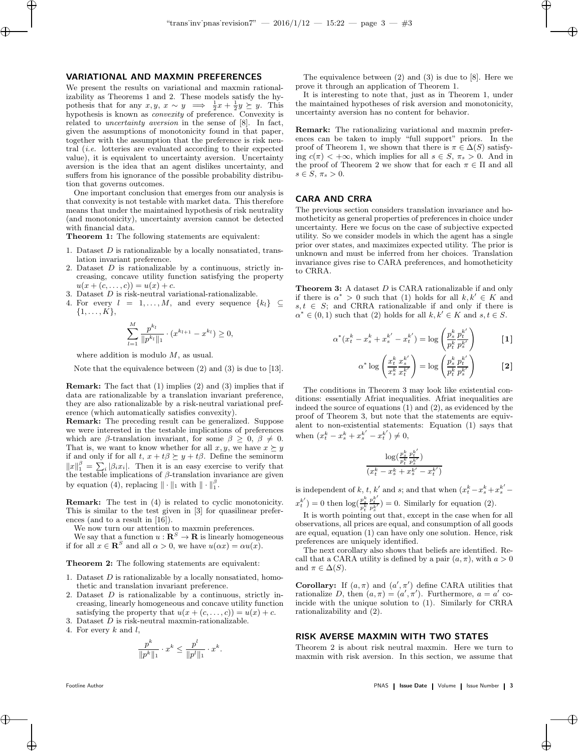### VARIATIONAL AND MAXMIN PREFERENCES

 $\rightarrow$ 

✐

We present the results on variational and maxmin rationalizability as Theorems 1 and 2. These models satisfy the hypothesis that for any  $x, y, x \sim y \implies \frac{1}{2}x + \frac{1}{2}y \geq y$ . This hypothesis is known as convexity of preference. Convexity is related to uncertainty aversion in the sense of [8]. In fact, given the assumptions of monotonicity found in that paper, together with the assumption that the preference is risk neutral (i.e. lotteries are evaluated according to their expected value), it is equivalent to uncertainty aversion. Uncertainty aversion is the idea that an agent dislikes uncertainty, and suffers from his ignorance of the possible probability distribution that governs outcomes.

One important conclusion that emerges from our analysis is that convexity is not testable with market data. This therefore means that under the maintained hypothesis of risk neutrality (and monotonicity), uncertainty aversion cannot be detected with financial data.

Theorem 1: The following statements are equivalent:

- 1. Dataset D is rationalizable by a locally nonsatiated, translation invariant preference.
- 2. Dataset  $D$  is rationalizable by a continuous, strictly increasing, concave utility function satisfying the property  $u(x + (c, \ldots, c)) = u(x) + c.$
- 3. Dataset D is risk-neutral variational-rationalizable.
- 4. For every  $l = 1, ..., M$ , and every sequence  $\{k_l\} \subseteq$  $\{1, \ldots, K\},\$

$$
\sum_{l=1}^{M} \frac{p^{k_l}}{\|p^{k_l}\|_1} \cdot (x^{k_{l+1}} - x^{k_l}) \ge 0,
$$

where addition is modulo  $M$ , as usual.

Note that the equivalence between (2) and (3) is due to [13].

Remark: The fact that (1) implies (2) and (3) implies that if data are rationalizable by a translation invariant preference, they are also rationalizable by a risk-neutral variational preference (which automatically satisfies convexity).

Remark: The preceding result can be generalized. Suppose we were interested in the testable implications of preferences which are  $\beta$ -translation invariant, for some  $\beta \geq 0$ ,  $\beta \neq 0$ . That is, we want to know whether for all  $x, y$ , we have  $x \succeq y$ if and only if for all  $t, x + t\beta \succeq y + t\beta$ . Define the seminorm  $||x||_1^{\beta} = \sum_i |\beta_i x_i|$ . Then it is an easy exercise to verify that the testable implications of  $\beta$ -translation invariance are given by equation (4), replacing  $\|\cdot\|_1$  with  $\|\cdot\|_1^{\beta}$ .

Remark: The test in (4) is related to cyclic monotonicity. This is similar to the test given in [3] for quasilinear preferences (and to a result in [16]).

We now turn our attention to maxmin preferences.

We say that a function  $u : \mathbf{R}^S \to \mathbf{R}$  is linearly homogeneous if for all  $x \in \mathbb{R}^S$  and all  $\alpha > 0$ , we have  $u(\alpha x) = \alpha u(x)$ .

Theorem 2: The following statements are equivalent:

- 1. Dataset D is rationalizable by a locally nonsatiated, homothetic and translation invariant preference.
- 2. Dataset  $D$  is rationalizable by a continuous, strictly increasing, linearly homogeneous and concave utility function satisfying the property that  $u(x + (c, \ldots, c)) = u(x) + c$ .
- 3. Dataset  $D$  is risk-neutral maxmin-rationalizable.
- 4. For every  $k$  and  $l$ ,

$$
\frac{p^k}{\|p^k\|_1} \cdot x^k \le \frac{p^l}{\|p^l\|_1} \cdot x^k.
$$

✐

✐

The equivalence between (2) and (3) is due to [8]. Here we prove it through an application of Theorem 1.

✐

It is interesting to note that, just as in Theorem 1, under the maintained hypotheses of risk aversion and monotonicity, uncertainty aversion has no content for behavior.

Remark: The rationalizing variational and maxmin preferences can be taken to imply "full support" priors. In the proof of Theorem 1, we shown that there is  $\pi \in \Delta(S)$  satisfying  $c(\pi) < +\infty$ , which implies for all  $s \in S$ ,  $\pi_s > 0$ . And in the proof of Theorem 2 we show that for each  $\pi \in \Pi$  and all  $s \in S$ ,  $\pi_s > 0$ .

## CARA AND CRRA

The previous section considers translation invariance and homotheticity as general properties of preferences in choice under uncertainty. Here we focus on the case of subjective expected utility. So we consider models in which the agent has a single prior over states, and maximizes expected utility. The prior is unknown and must be inferred from her choices. Translation invariance gives rise to CARA preferences, and homotheticity to CRRA.

Theorem 3: A dataset D is CARA rationalizable if and only if there is  $\alpha^* > 0$  such that (1) holds for all  $k, k' \in K$  and  $s, t \in S$ ; and CRRA rationalizable if and only if there is  $\alpha^* \in (0,1)$  such that (2) holds for all  $k, k' \in K$  and  $s, t \in S$ .

$$
\alpha^*(x_t^k - x_s^k + x_s^{k'} - x_t^{k'}) = \log\left(\frac{p_s^k}{p_t^k} \frac{p_t^{k'}}{p_s^{k'}}\right) \qquad [1]
$$

$$
\alpha^* \log \left( \frac{x_t^k}{x_s^k} \frac{x_s^{k'}}{x_t^{k'}} \right) = \log \left( \frac{p_s^k}{p_t^k} \frac{p_t^{k'}}{p_s^{k'}} \right) \qquad \qquad [2]
$$

The conditions in Theorem 3 may look like existential conditions: essentially Afriat inequalities. Afriat inequalities are indeed the source of equations (1) and (2), as evidenced by the proof of Theorem 3, but note that the statements are equivalent to non-existential statements: Equation (1) says that when  $(x_t^k - x_s^k + x_s^{k'} - x_t^{k'}) \neq 0$ ,

$$
\frac{\log(\frac{p_{s}^{k}}{p_{t}^{k}}\frac{p_{t}^{k'}}{p_{s}^{k'}})}{(x_{t}^{k}-x_{s}^{k}+x_{s}^{k'}-x_{t}^{k'})}
$$

is independent of  $k, t, k'$  and  $s$ ; and that when  $(x_t^k - x_s^k + x_s^{k'}$  $x_t^{k'}$ ) = 0 then  $\log(\frac{p_s^k}{p_t^k})$  $\frac{p_t^{k'}}{p_s^{k'}}$ ) = 0. Similarly for equation (2).

It is worth pointing out that, except in the case when for all observations, all prices are equal, and consumption of all goods are equal, equation (1) can have only one solution. Hence, risk preferences are uniquely identified.

The next corollary also shows that beliefs are identified. Recall that a CARA utility is defined by a pair  $(a, \pi)$ , with  $a > 0$ and  $\pi \in \Delta(S)$ .

**Corollary:** If  $(a, \pi)$  and  $(a', \pi')$  define CARA utilities that rationalize D, then  $(a, \pi) = (a', \pi')$ . Furthermore,  $a = a'$  coincide with the unique solution to (1). Similarly for CRRA rationalizability and (2).

# RISK AVERSE MAXMIN WITH TWO STATES

Theorem 2 is about risk neutral maxmin. Here we turn to maxmin with risk aversion. In this section, we assume that

Footline Author **Francisco Exercise 2018** PNAS | Issue Date | Volume | Issue Number | 3

 $\oplus$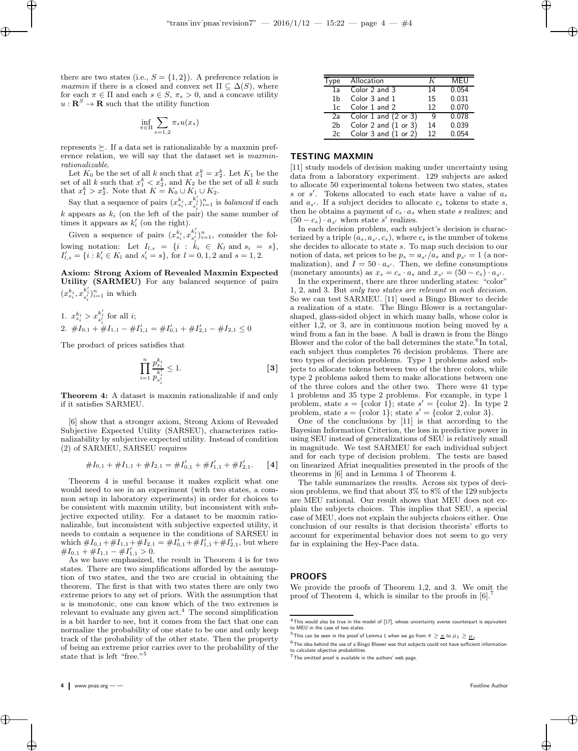there are two states (i.e.,  $S = \{1, 2\}$ ). A preference relation is *maxmin* if there is a closed and convex set  $\Pi \subseteq \Delta(S)$ , where for each  $\pi \in \Pi$  and each  $s \in S$ ,  $\pi_s > 0$ , and a concave utility  $u : \mathbf{R}^S \to \mathbf{R}$  such that the utility function

 $\rightarrow$ 

✐

$$
\inf_{\pi \in \Pi} \sum_{s=1,2} \pi_s u(x_s)
$$

represents  $\succeq$ . If a data set is rationalizable by a maxmin preference relation, we will say that the dataset set is maxminrationalizable.

Let  $K_0$  be the set of all k such that  $x_1^k = x_2^k$ . Let  $K_1$  be the set of all k such that  $x_1^k < x_2^k$ , and  $K_2$  be the set of all k such that  $x_1^k > x_2^k$ . Note that  $K = K_0 \cup K_1 \cup K_2$ .

Say that a sequence of pairs  $(x_{s_i}^{k_i}, x_{s'_i}^{k'_i})_{i=1}^n$  is *balanced* if each k appears as  $k_i$  (on the left of the pair) the same number of times it appears as  $k_i'$  (on the right).

Given a sequence of pairs  $(x_{s_i}^{k_i}, x_{s'_i}^{k'_i})_{i=1}^n$ , consider the following notation: Let  $I_{l,s} = \{i : \kappa_i \in K_l \text{ and } s_i = s\},\$  $I'_{l,s} = \{i : k'_{i} \in K_{l} \text{ and } s'_{i} = s\}, \text{ for } l = 0, 1, 2 \text{ and } s = 1, 2.$ 

Axiom: Strong Axiom of Revealed Maxmin Expected Utility (SARMEU) For any balanced sequence of pairs  $(x_{s_i}^{k_i}, x_{s'_i}^{k'_i})_{i=1}^n$  in which

1. 
$$
x_{s_i}^{k_i} > x_{s_i'}^{k_i'}
$$
 for all  $i$ ;  
\n2.  $\#I_{0,1} + \#I_{1,1} - \#I_{1,1}' = \#I_{0,1}' + \#I_{2,1}' - \#I_{2,1} \leq 0$ 

The product of prices satisfies that

$$
\prod_{i=1}^{n} \frac{p_{s_i}^{k_i}}{p_{s'_i}^{k'_i}} \le 1.
$$
 [3]

Theorem 4: A dataset is maxmin rationalizable if and only if it satisfies SARMEU.

[6] show that a stronger axiom, Strong Axiom of Revealed Subjective Expected Utility (SARSEU), characterizes rationalizability by subjective expected utility. Instead of condition (2) of SARMEU, SARSEU requires

$$
#I_{0,1} + #I_{1,1} + #I_{2,1} = #I'_{0,1} + #I'_{1,1} + #I'_{2,1}.
$$
 [4]

Theorem 4 is useful because it makes explicit what one would need to see in an experiment (with two states, a common setup in laboratory experiments) in order for choices to be consistent with maxmin utility, but inconsistent with subjective expected utility. For a dataset to be maxmin rationalizable, but inconsistent with subjective expected utility, it needs to contain a sequence in the conditions of SARSEU in which  $\#I_{0,1} + \#I_{1,1} + \#I_{2,1} = \#I'_{0,1} + \#I'_{1,1} + \#I'_{2,1}$ , but where  $\#I_{0,1} + \#I_{1,1} - \#I'_{1,1} > 0.$ 

As we have emphasized, the result in Theorem 4 is for two states. There are two simplifications afforded by the assumption of two states, and the two are crucial in obtaining the theorem. The first is that with two states there are only two extreme priors to any set of priors. With the assumption that  $u$  is monotonic, one can know which of the two extremes is relevant to evaluate any given  $act<sup>4</sup>$ . The second simplification is a bit harder to see, but it comes from the fact that one can normalize the probability of one state to be one and only keep track of the probability of the other state. Then the property of being an extreme prior carries over to the probability of the state that is left "free."<sup>5</sup>

✐

✐

| ъe | Allocation                 |    | MEU   |
|----|----------------------------|----|-------|
| 1a | Color 2 and 3              | 14 | 0.054 |
| 1b | Color 3 and 1              | 15 | 0.031 |
| 1c | Color 1 and 2              | 12 | 0.070 |
| 2a | Color $1$ and $(2$ or $3)$ | q  | 0.078 |
| 2b | Color 2 and $(1 or 3)$     | 14 | 0.039 |
| 2c | Color $3$ and $(1$ or $2)$ | 12 | 0.054 |
|    |                            |    |       |

✐

## TESTING MAXMIN

[11] study models of decision making under uncertainty using data from a laboratory experiment. 129 subjects are asked to allocate 50 experimental tokens between two states, states s or  $s'$ . Tokens allocated to each state have a value of  $a_s$ and  $a_{s'}$ . If a subject decides to allocate  $c_s$  tokens to state s, then he obtains a payment of  $c_s \cdot a_s$  when state s realizes; and  $(50 - c_s) \cdot a_{s'}$  when state s' realizes.

In each decision problem, each subject's decision is characterized by a triple  $(a_s, a_{s'}, c_s)$ , where  $c_s$  is the number of tokens she decides to allocate to state s. To map such decision to our notion of data, set prices to be  $p_s = a_{s'}/a_s$  and  $p_{s'} = 1$  (a normalization), and  $I = 50 \cdot a_{s'}$ . Then, we define consumptions (monetary amounts) as  $x_s = c_s \cdot a_s$  and  $x_{s'} = (50 - c_s) \cdot a_{s'}$ .

In the experiment, there are three underling states: "color" 1, 2, and 3. But only two states are relevant in each decision. So we can test SARMEU. [11] used a Bingo Blower to decide a realization of a state. The Bingo Blower is a rectangularshaped, glass-sided object in which many balls, whose color is either 1,2, or 3, are in continuous motion being moved by a wind from a fan in the base. A ball is drawn is from the Bingo Blower and the color of the ball determines the state.<sup>6</sup>In total, each subject thus completes 76 decision problems. There are two types of decision problems. Type 1 problems asked subjects to allocate tokens between two of the three colors, while type 2 problems asked them to make allocations between one of the three colors and the other two. There were 41 type 1 problems and 35 type 2 problems. For example, in type 1 problem, state  $s = \{\text{color 1} i\};$  state  $s' = \{\text{color 2} 2\}.$  In type 2 problem, state  $s = \{\text{color 1} \}$ ; state  $s' = \{\text{color 2} 2, \text{color 3} 3\}.$ 

One of the conclusions by [11] is that according to the Bayesian Information Criterion, the loss in predictive power in using SEU instead of generalizations of SEU is relatively small in magnitude. We test SARMEU for each individual subject and for each type of decision problem. The tests are based on linearized Afriat inequalities presented in the proofs of the theorems in [6] and in Lemma 1 of Theorem 4.

The table summarizes the results. Across six types of decision problems, we find that about 3% to 8% of the 129 subjects are MEU rational. Our result shows that MEU does not explain the subjects choices. This implies that SEU, a special case of MEU, does not explain the subjects choices either. One conclusion of our results is that decision theorists' efforts to account for experimental behavior does not seem to go very far in explaining the Hey-Pace data.

## PROOFS

We provide the proofs of Theorem 1,2, and 3. We omit the proof of Theorem 4, which is similar to the proofs in  $[6]$ .

✐

 $4$ This would also be true in the model of [17], whose uncertainty averse counterpart is equivalent to MEU in the case of two states.

 $^5$ This can be seen in the proof of Lemma 1 when we go from  $\bar{\pi}\geq \underline{\pi}$  to  $\bar{\mu}_1\geq \underline{\mu}_1.$ 

 $^6$ The idea behind the use of a Bingo Blower was that subjects could not have sufficient information to calculate objective probabilities.

 $7$ The omitted proof is available in the authors' web page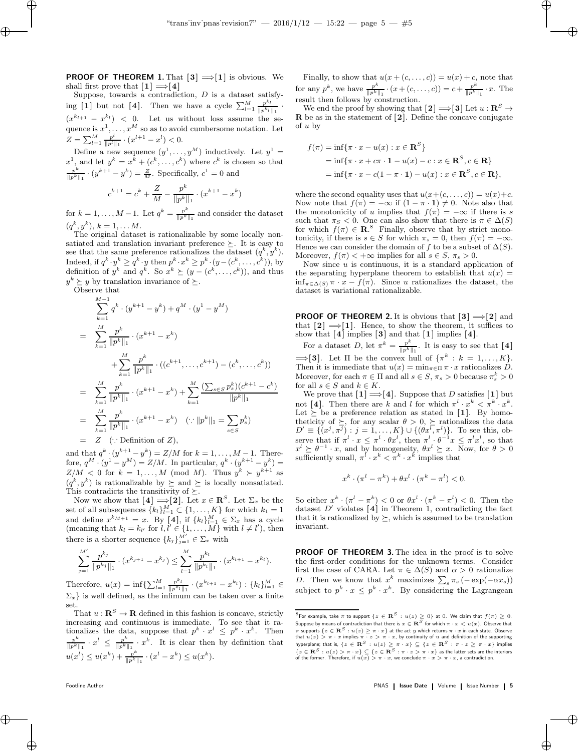**PROOF OF THEOREM 1.** That  $[3] \implies [1]$  is obvious. We shall first prove that  $[1] \implies [4]$ 

Suppose, towards a contradiction,  $D$  is a dataset satisfying [1] but not [4]. Then we have a cycle  $\sum_{l=1}^{M} \frac{p^{k_l}}{\|p^{k_l}\|}$  $\frac{p}{\|p^{k_l}\|_1}$ .  $\frac{k_l}{1}$  $(x^{k_{l+1}} - x^{k_l})$  < 0. Let us without loss assume the sequence is  $x^1, \ldots, x^M$  so as to avoid cumbersome notation. Let  $Z=\sum_{l=1}^M \frac{p^l}{\|p^l\|}$  $\frac{p^{\iota}}{\|p^l\|_1} \cdot (x^{l+1} - x^l) < 0.$ 

Define a new sequence  $(y^1, \ldots, y^M)$  inductively. Let  $y^1 =$  $x^1$ , and let  $y^k = x^k + (c^k, \ldots, c^k)$  where  $c^k$  is chosen so that  $p^k$  $\frac{p^k}{\|p^k\|_1} \cdot (y^{k+1} - y^k) = \frac{Z}{M}$ . Specifically,  $c^1 = 0$  and

$$
c^{k+1} = c^k + \frac{Z}{M} - \frac{p^k}{\|p^k\|_1} \cdot (x^{k+1} - x^k)
$$

for  $k = 1, \ldots, M-1$ . Let  $q^k = \frac{p^k}{\ln k!}$  $\frac{p^{\alpha}}{\|p^k\|_1}$  and consider the dataset  $(q^k, y^k), k = 1, \ldots M.$ 

The original dataset is rationalizable by some locally nonsatiated and translation invariant preference  $\succeq$ . It is easy to see that the same preference rationalizes the dataset  $(q^k, y^k)$ . Indeed, if  $q^k \cdot y^k \ge q^k \cdot y$  then  $p^k \cdot x^k \ge p^k \cdot (y - (c^k, \dots, c^k))$ , by definition of  $y^k$  and  $q^k$ . So  $x^k \succeq (y - (c^k, \ldots, c^k))$ , and thus  $y^k \succeq y$  by translation invariance of  $\succeq$ .

Observe that

 $\rightarrow$ 

✐

$$
\sum_{k=1}^{M-1} q^k \cdot (y^{k+1} - y^k) + q^M \cdot (y^1 - y^M)
$$
\n
$$
= \sum_{k=1}^{M} \frac{p^k}{\|p^k\|_1} \cdot (x^{k+1} - x^k)
$$
\n
$$
+ \sum_{k=1}^{M} \frac{p^k}{\|p^k\|_1} \cdot ((c^{k+1}, \dots, c^{k+1}) - (c^k, \dots, c^k))
$$
\n
$$
= \sum_{k=1}^{M} \frac{p^k}{\|p^k\|_1} \cdot (x^{k+1} - x^k) + \sum_{k=1}^{M} \frac{(\sum_{s \in S} p_s^k)(c^{k+1} - c^k)}{\|p^k\|_1}
$$
\n
$$
= \sum_{k=1}^{M} \frac{p^k}{\|p^k\|_1} \cdot (x^{k+1} - x^k) \quad (\because \|p^k\|_1 = \sum_{s \in S} p_s^k)
$$
\n
$$
= Z \quad (\because \text{Definition of } Z),
$$

and that  $q^k \cdot (y^{k+1} - y^k) = Z/M$  for  $k = 1, ..., M - 1$ . Therefore,  $q^M \cdot (y^1 - y^M) = Z/M$ . In particular,  $q^k \cdot (y^{k+1} - y^k) =$  $Z/M < 0$  for  $k = 1, ..., M \pmod{M}$ . Thus  $y^k > y^{k+1}$  as  $(q^k, y^k)$  is rationalizable by  $\succeq$  and  $\succeq$  is locally nonsatiated. This contradicts the transitivity of  $\succeq$ .

Now we show that  $[4] \Longrightarrow [2]$ . Let  $x \in \mathbb{R}^S$ . Let  $\Sigma_x$  be the set of all subsequences  $\{k_l\}_{l=1}^M \subset \{1, \ldots, K\}$  for which  $k_1 = 1$ and define  $x^{k_{M+1}} = x$ . By [4], if  $\{k_l\}_{l=1}^M \in \Sigma_x$  has a cycle (meaning that  $k_l = k_{l'}$  for  $l, l' \in \{1, ..., M\}$  with  $l \neq l'$ ), then there is a shorter sequence  $\{k_j\}_{j=1}^{M'} \in \Sigma_x$  with

$$
\sum_{j=1}^{M'} \frac{p^{k_j}}{\|p^{k_j}\|_1} \cdot (x^{k_{j+1}} - x^{k_j}) \le \sum_{l=1}^{M} \frac{p^{k_l}}{\|p^{k_l}\|_1} \cdot (x^{k_{l+1}} - x^{k_l}).
$$

Therefore,  $u(x) = \inf \{ \sum_{l=1}^M \frac{p^{k_l}}{\|p^{k_l}\|}$  $\frac{p^{\kappa_l}}{\|p^{k_l}\|_1} \cdot (x^{k_{l+1}} - x^{k_l}) : \{k_l\}_{l=1}^M \in$  $\Sigma_x$ } is well defined, as the infimum can be taken over a finite set.

That  $u : \mathbf{R}^S \to \mathbf{R}$  defined in this fashion is concave, strictly increasing and continuous is immediate. To see that it rationalizes the data, suppose that  $p^k \cdot x^l \leq p^k \cdot x^k$ . Then  $p^k \cdot x^l \leq x^k$  $\frac{p^k}{\|p^k\|_1} \cdot x^l \ \leq \ \frac{p^k}{\|p^k\|}$  $\frac{p^k}{\|p^k\|_1} \cdot x^k$ . It is clear then by definition that  $u(x^l) \leq u(x^k) + \frac{p^k}{\ln k}$  $\frac{p^k}{\|p^k\|_1} \cdot (x^l - x^k) \leq u(x^k).$ 

Finally, to show that  $u(x+(c,\ldots,c))=u(x)+c$ , note that for any  $p^k$ , we have  $\frac{p^k}{\|p\|_k}$  $\frac{p^k}{\|p^k\|_1} \cdot (x + (c, \ldots, c)) = c + \frac{p^k}{\|p^k\|_1}$  $\frac{p^{\alpha}}{\|p^k\|_1} \cdot x$ . The result then follows by construction.

✐

We end the proof by showing that  $[2] \Longrightarrow [3]$  Let  $u : \mathbb{R}^S \to$ R be as in the statement of [2 ]. Define the concave conjugate of u by

$$
f(\pi) = \inf \{ \pi \cdot x - u(x) : x \in \mathbf{R}^{S} \}
$$
  
=  $\inf \{ \pi \cdot x + c\pi \cdot \mathbf{1} - u(x) - c : x \in \mathbf{R}^{S}, c \in \mathbf{R} \}$   
=  $\inf \{ \pi \cdot x - c(1 - \pi \cdot \mathbf{1}) - u(x) : x \in \mathbf{R}^{S}, c \in \mathbf{R} \},$ 

where the second equality uses that  $u(x+(c, \ldots, c)) = u(x)+c$ . Now note that  $f(\pi) = -\infty$  if  $(1 - \pi \cdot \mathbf{1}) \neq 0$ . Note also that the monotonicity of u implies that  $f(\pi) = -\infty$  if there is s such that  $\pi_S < 0$ . One can also show that there is  $\pi \in \Delta(S)$ for which  $f(\pi) \in \mathbb{R}^8$ . Finally, observe that by strict monotonicity, if there is  $s \in S$  for which  $\pi_s = 0$ , then  $f(\pi) = -\infty$ . Hence we can consider the domain of f to be a subset of  $\Delta(S)$ . Moreover,  $f(\pi) < +\infty$  implies for all  $s \in S$ ,  $\pi_s > 0$ .

Now since  $u$  is continuous, it is a standard application of the separating hyperplane theorem to establish that  $u(x) =$  $\inf_{\pi \in \Delta(S)} \pi \cdot x - f(\pi)$ . Since u rationalizes the dataset, the dataset is variational rationalizable.

**PROOF OF THEOREM 2.** It is obvious that  $[3] \implies [2]$  and that  $[2] \implies [1]$ . Hence, to show the theorem, it suffices to show that  $[4]$  implies  $[3]$  and that  $[1]$  implies  $[4]$ .

For a dataset D, let  $\pi^k = \frac{p^k}{\ln k}$  $\frac{p^{\alpha}}{\|p^k\|_1}$ . It is easy to see that [4]  $\Longrightarrow$ [3]. Let  $\Pi$  be the convex hull of  $\{\pi^k : k = 1, \ldots, K\}.$ Then it is immediate that  $u(x) = \min_{\pi \in \Pi} \pi \cdot x$  rationalizes D. Moreover, for each  $\pi \in \Pi$  and all  $s \in S$ ,  $\pi_s > 0$  because  $\pi_s^k > 0$ for all  $s \in S$  and  $k \in K$ .

We prove that  $[1] \Longrightarrow [4]$ . Suppose that D satisfies  $[1]$  but not [4]. Then there are k and l for which  $\pi^l \cdot x^k < \pi^k \cdot x^k$ . Let  $\succeq$  be a preference relation as stated in [1]. By homotheticity of  $\succeq$ , for any scalar  $\theta > 0$ ,  $\succeq$  rationalizes the data  $D' \equiv \{ (x^j, \pi^j) : j = 1, ..., K \} \cup \{ (\theta x^l, \pi^l) \}.$  To see this, observe that if  $\pi^l \cdot x \leq \pi^l \cdot \theta x^l$ , then  $\pi^l \cdot \theta^{-1} x \leq \pi^l x^l$ , so that  $x^{l} \geq \theta^{-1} \cdot x$ , and by homogeneity,  $\theta x^{l} \geq x$ . Now, for  $\theta > 0$ sufficiently small,  $\pi^l \cdot x^k < \pi^k \cdot x^k$  implies that

$$
x^k \cdot (\pi^l - \pi^k) + \theta x^l \cdot (\pi^k - \pi^l) < 0.
$$

So either  $x^k \cdot (\pi^l - \pi^k) < 0$  or  $\theta x^l \cdot (\pi^k - \pi^l) < 0$ . Then the dataset  $D'$  violates [4] in Theorem 1, contradicting the fact that it is rationalized by  $\succeq$ , which is assumed to be translation invariant.

PROOF OF THEOREM 3. The idea in the proof is to solve the first-order conditions for the unknown terms. Consider first the case of CARA. Let  $\pi \in \Delta(S)$  and  $\alpha > 0$  rationalize D. Then we know that  $x^k$  maximizes  $\sum_s \pi_s(-\exp(-\alpha x_s))$ subject to  $p^k \cdot x \leq p^k \cdot x^k$ . By considering the Lagrangean

✐

✐

 $\oplus$ 

 $^8$ For example, take  $\pi$  to support  $\{z\in{\bf R}\hbox{$^{S}$} : \hbox{$u(z)\ge 0$}\}$  at  $0.$  We claim that  $f(\pi)\ge 0.$ Suppose by means of contradiction that there is  $x\in{\bf R}^S$  for which  $\pi\cdot x < u(x)$ . Observe that π supports  $\{z \in \mathbf{R}^S : u(z) \geq \pi \cdot x\}$  at the act y which returns  $\pi \cdot x$  in each state. Observe that  $u(z) > \pi \cdot x$  implies  $\pi \cdot z > \pi \cdot x$ , by continuity of  $u$  and definition of the supporting hyperplane; that is,  $\{z \in \mathbf{R}^S : u(z) \geq \pi \cdot x\} \subseteq \{z \in \mathbf{R}^S : \pi \cdot z \geq \pi \cdot x\}$  implies  $\{z \in \mathbf{R}^S : u(z) > \pi \cdot x\} \subseteq \{z \in \mathbf{R}^S : \pi \cdot z > \pi \cdot x\}$  as the latter sets are the interiors of the former. Therefore, if  $u(x) > \pi \cdot x$ , we conclude  $\pi \cdot x > \pi \cdot x$ , a contradiction.